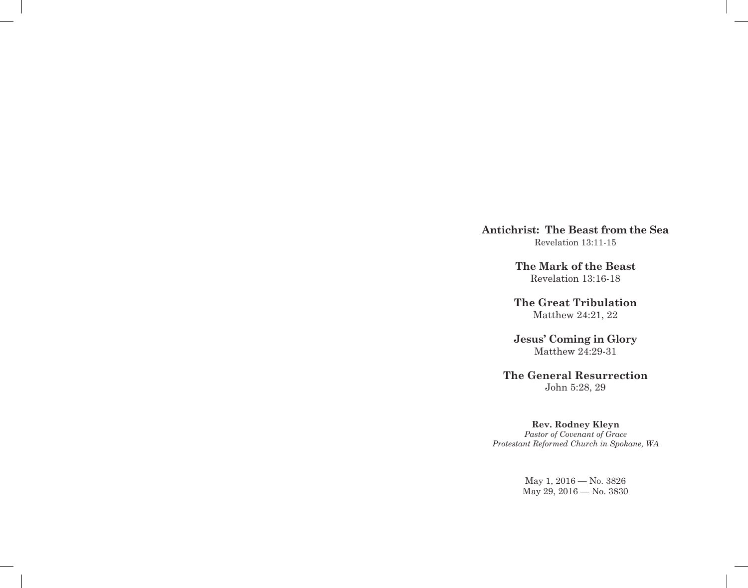**Antichrist: The Beast from the Sea** Revelation 13:11-15

> **The Mark of the Beast** Revelation 13:16-18

**The Great Tribulation** Matthew 24:21, 22

**Jesus' Coming in Glory** Matthew 24:29-31

**The General Resurrection** John 5:28, 29

**Rev. Rodney Kleyn**

*Pastor of Covenant of Grace Protestant Reformed Church in Spokane, WA*

> May 1, 2016 — No. 3826 May 29, 2016 — No. 3830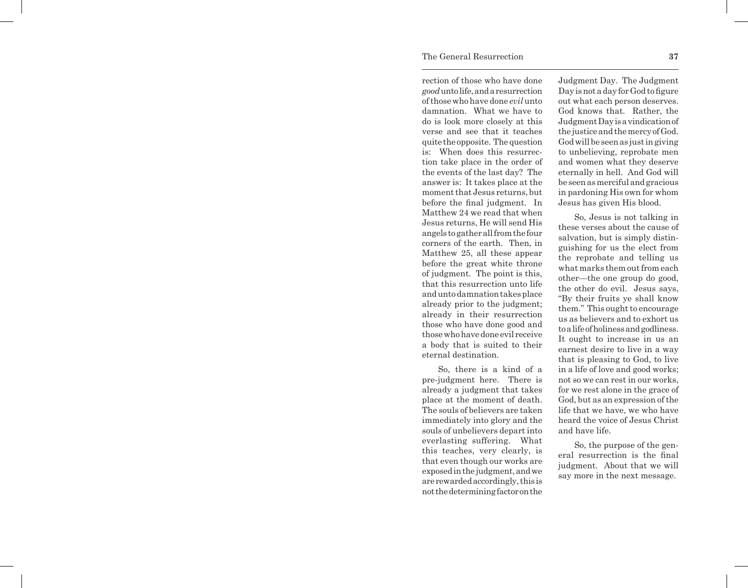## The General Resurrection **37**

rection of those who have done *good* unto life, and a resurrection of those who have done *evil* unto damnation. What we have to do is look more closely at this verse and see that it teaches quite the opposite. The question is: When does this resurrection take place in the order of the events of the last day? The answer is: It takes place at the moment that Jesus returns, but before the final judgment. In Matthew 24 we read that when Jesus returns, He will send His angels to gather all from the four corners of the earth. Then, in Matthew 25, all these appear before the great white throne of judgment. The point is this, that this resurrection unto life and unto damnation takes place already prior to the judgment; already in their resurrection those who have done good and those who have done evil receive a body that is suited to their eternal destination.

So, there is a kind of a pre-judgment here. There is already a judgment that takes place at the moment of death. The souls of believers are taken immediately into glory and the souls of unbelievers depart into everlasting suffering. What this teaches, very clearly, is that even though our works are exposed in the judgment, and we are rewarded accordingly, this is not the determining factor on the

Judgment Day. The Judgment Day is not a day for God to figure out what each person deserves. God knows that. Rather, the Judgment Day is a vindication of the justice and the mercy of God. God will be seen as just in giving to unbelieving, reprobate men and women what they deserve eternally in hell. And God will be seen as merciful and gracious in pardoning His own for whom Jesus has given His blood.

So, Jesus is not talking in these verses about the cause of salvation, but is simply distinguishing for us the elect from the reprobate and telling us what marks them out from each other—the one group do good, the other do evil. Jesus says, "By their fruits ye shall know them." This ought to encourage us as believers and to exhort us to a life of holiness and godliness. It ought to increase in us an earnest desire to live in a way that is pleasing to God, to live in a life of love and good works; not so we can rest in our works, for we rest alone in the grace of God, but as an expression of the life that we have, we who have heard the voice of Jesus Christ and have life.

So, the purpose of the general resurrection is the final judgment. About that we will say more in the next message.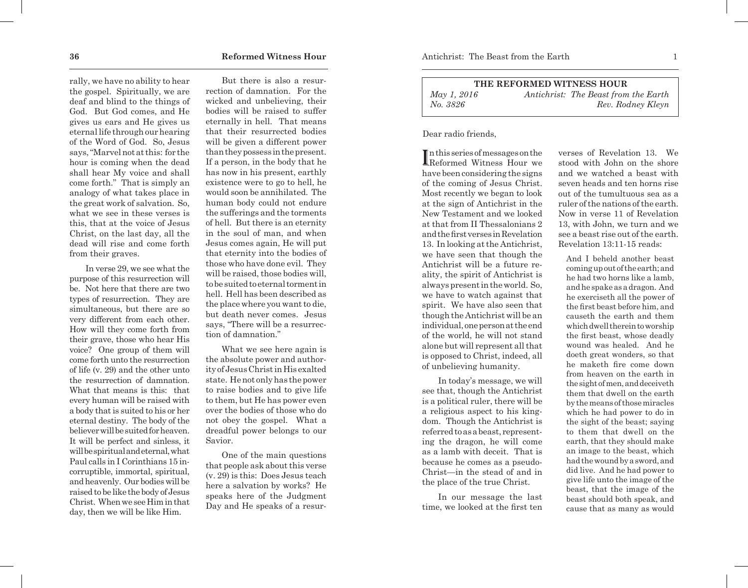rally, we have no ability to hear the gospel. Spiritually, we are deaf and blind to the things of God. But God comes, and He gives us ears and He gives us eternal life through our hearing of the Word of God. So, Jesus says, "Marvel not at this: for the hour is coming when the dead shall hear My voice and shall come forth." That is simply an analogy of what takes place in the great work of salvation. So, what we see in these verses is this, that at the voice of Jesus Christ, on the last day, all the dead will rise and come forth from their graves.

In verse 29, we see what the purpose of this resurrection will be. Not here that there are two types of resurrection. They are simultaneous, but there are so very different from each other. How will they come forth from their grave, those who hear His voice? One group of them will come forth unto the resurrection of life (v. 29) and the other unto the resurrection of damnation. What that means is this: that every human will be raised with a body that is suited to his or her eternal destiny. The body of the believer will be suited for heaven. It will be perfect and sinless, it will be spiritual and eternal, what Paul calls in I Corinthians 15 incorruptible, immortal, spiritual, and heavenly. Our bodies will be raised to be like the body of Jesus Christ. When we see Him in that day, then we will be like Him.

But there is also a resurrection of damnation. For the wicked and unbelieving, their bodies will be raised to suffer eternally in hell. That means that their resurrected bodies will be given a different power than they possess in the present. If a person, in the body that he has now in his present, earthly existence were to go to hell, he would soon be annihilated. The human body could not endure the sufferings and the torments of hell. But there is an eternity in the soul of man, and when Jesus comes again, He will put that eternity into the bodies of those who have done evil. They will be raised, those bodies will, to be suited to eternal torment in hell. Hell has been described as the place where you want to die, but death never comes. Jesus says, "There will be a resurrection of damnation."

What we see here again is the absolute power and authority of Jesus Christ in His exalted state. He not only has the power to raise bodies and to give life to them, but He has power even over the bodies of those who do not obey the gospel. What a dreadful power belongs to our Savior.

One of the main questions that people ask about this verse (v. 29) is this: Does Jesus teach here a salvation by works? He speaks here of the Judgment Day and He speaks of a resur-

| THE REFORMED WITNESS HOUR |                                      |  |
|---------------------------|--------------------------------------|--|
| May 1, 2016               | Antichrist: The Beast from the Earth |  |
| No. 3826                  | Rev. Rodney Kleyn                    |  |

Dear radio friends,

I Reformed Witness Hour we n this series of messages on the have been considering the signs of the coming of Jesus Christ. Most recently we began to look at the sign of Antichrist in the New Testament and we looked at that from II Thessalonians 2 and the first verses in Revelation 13. In looking at the Antichrist, we have seen that though the Antichrist will be a future reality, the spirit of Antichrist is always present in the world. So, we have to watch against that spirit. We have also seen that though the Antichrist will be an individual, one person at the end of the world, he will not stand alone but will represent all that is opposed to Christ, indeed, all of unbelieving humanity.

In today's message, we will see that, though the Antichrist is a political ruler, there will be a religious aspect to his kingdom. Though the Antichrist is referred to as a beast, representing the dragon, he will come as a lamb with deceit. That is because he comes as a pseudo-Christ—in the stead of and in the place of the true Christ.

In our message the last time, we looked at the first ten verses of Revelation 13. We stood with John on the shore and we watched a beast with seven heads and ten horns rise out of the tumultuous sea as a ruler of the nations of the earth. Now in verse 11 of Revelation 13, with John, we turn and we see a beast rise out of the earth. Revelation 13:11-15 reads:

And I beheld another beast coming up out of the earth; and he had two horns like a lamb, and he spake as a dragon. And he exerciseth all the power of the first beast before him, and causeth the earth and them which dwell therein to worship the first beast, whose deadly wound was healed. And he doeth great wonders, so that he maketh fire come down from heaven on the earth in the sight of men, and deceiveth them that dwell on the earth by the means of those miracles which he had power to do in the sight of the beast; saying to them that dwell on the earth, that they should make an image to the beast, which had the wound by a sword, and did live. And he had power to give life unto the image of the beast, that the image of the beast should both speak, and cause that as many as would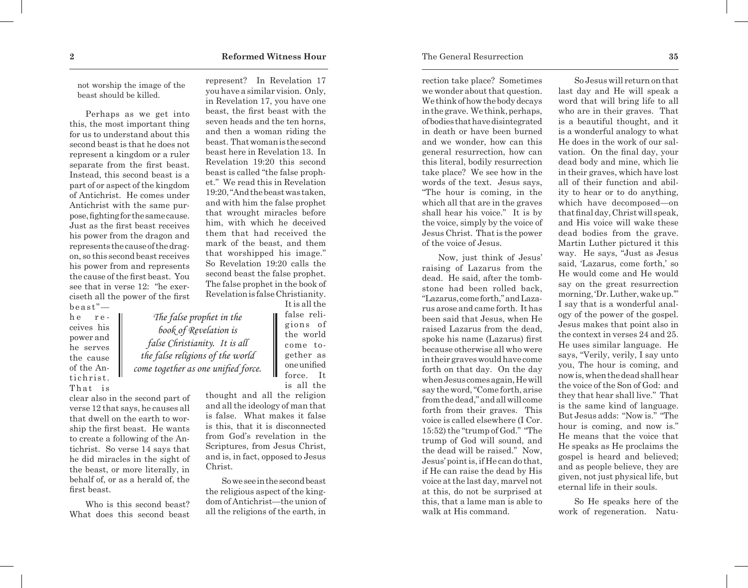not worship the image of the beast should be killed.

Perhaps as we get into this, the most important thing for us to understand about this second beast is that he does not represent a kingdom or a ruler separate from the first beast. Instead, this second beast is a part of or aspect of the kingdom of Antichrist. He comes under Antichrist with the same purpose, fighting for the same cause. Just as the first beast receives his power from the dragon and represents the cause of the dragon, so this second beast receives his power from and represents the cause of the first beast. You see that in verse 12: "he exerciseth all the power of the first beast"—

> *The false prophet in the book of Revelation is false Christianity. It is all the false religions of the world come together as one unified force.*

he re ceives his power and he serves the cause of the Antichrist. That is

clear also in the second part of verse 12 that says, he causes all that dwell on the earth to worship the first beast. He wants to create a following of the Antichrist. So verse 14 says that he did miracles in the sight of the beast, or more literally, in behalf of, or as a herald of, the first beast.

Who is this second beast? What does this second beast represent? In Revelation 17 you have a similar vision. Only, in Revelation 17, you have one beast, the first beast with the seven heads and the ten horns, and then a woman riding the beast. That woman is the second beast here in Revelation 13. In Revelation 19:20 this second beast is called "the false prophet." We read this in Revelation 19:20, "And the beast was taken, and with him the false prophet that wrought miracles before him, with which he deceived them that had received the mark of the beast, and them that worshipped his image." So Revelation 19:20 calls the second beast the false prophet. The false prophet in the book of Revelation is false Christianity.

> It is all the false religions of the world come together as one unified force. It is all the

thought and all the religion and all the ideology of man that is false. What makes it false is this, that it is disconnected from God's revelation in the Scriptures, from Jesus Christ, and is, in fact, opposed to Jesus Christ.

So we see in the second beast the religious aspect of the kingdom of Antichrist—the union of all the religions of the earth, in

rection take place? Sometimes we wonder about that question. We think of how the body decays in the grave. We think, perhaps, of bodies that have disintegrated in death or have been burned and we wonder, how can this general resurrection, how can this literal, bodily resurrection take place? We see how in the words of the text. Jesus says, "The hour is coming, in the which all that are in the graves shall hear his voice." It is by the voice, simply by the voice of Jesus Christ. That is the power of the voice of Jesus.

Now, just think of Jesus' raising of Lazarus from the dead. He said, after the tombstone had been rolled back, "Lazarus, come forth," and Lazarus arose and came forth. It has been said that Jesus, when He raised Lazarus from the dead, spoke his name (Lazarus) first because otherwise all who were in their graves would have come forth on that day. On the day when Jesus comes again, He will say the word, "Come forth, arise from the dead," and all will come forth from their graves. This voice is called elsewhere (I Cor. 15:52) the "trump of God." "The trump of God will sound, and the dead will be raised." Now, Jesus' point is, if He can do that, if He can raise the dead by His voice at the last day, marvel not at this, do not be surprised at this, that a lame man is able to walk at His command.

So Jesus will return on that last day and He will speak a word that will bring life to all who are in their graves. That is a beautiful thought, and it is a wonderful analogy to what He does in the work of our salvation. On the final day, your dead body and mine, which lie in their graves, which have lost all of their function and ability to hear or to do anything, which have decomposed—on that final day, Christ will speak, and His voice will wake these dead bodies from the grave. Martin Luther pictured it this way. He says, "Just as Jesus said, 'Lazarus, come forth,' so He would come and He would say on the great resurrection morning, 'Dr. Luther, wake up.'" I say that is a wonderful analogy of the power of the gospel. Jesus makes that point also in the context in verses 24 and 25. He uses similar language. He says, "Verily, verily, I say unto you, The hour is coming, and now is, when the dead shall hear the voice of the Son of God: and they that hear shall live." That is the same kind of language. But Jesus adds: "Now is." "The hour is coming, and now is." He means that the voice that He speaks as He proclaims the gospel is heard and believed; and as people believe, they are

So He speaks here of the work of regeneration. Natu-

given, not just physical life, but eternal life in their souls.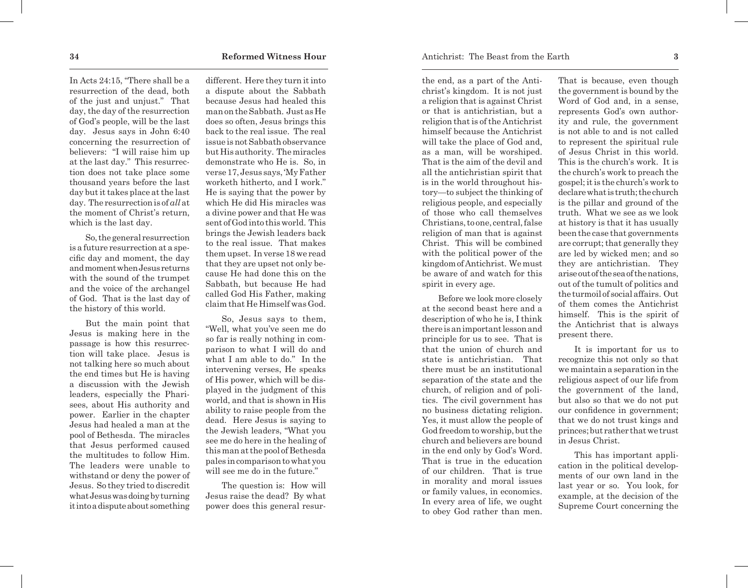In Acts 24:15, "There shall be a resurrection of the dead, both of the just and unjust." That day, the day of the resurrection of God's people, will be the last day. Jesus says in John 6:40 concerning the resurrection of believers: "I will raise him up at the last day." This resurrection does not take place some thousand years before the last day but it takes place at the last day. The resurrection is of *all* at the moment of Christ's return, which is the last day.

So, the general resurrection is a future resurrection at a specific day and moment, the day and moment when Jesus returns with the sound of the trumpet and the voice of the archangel of God. That is the last day of the history of this world.

But the main point that Jesus is making here in the passage is how this resurrection will take place. Jesus is not talking here so much about the end times but He is having a discussion with the Jewish leaders, especially the Pharisees, about His authority and power. Earlier in the chapter Jesus had healed a man at the pool of Bethesda. The miracles that Jesus performed caused the multitudes to follow Him. The leaders were unable to withstand or deny the power of Jesus. So they tried to discredit what Jesus was doing by turning it into a dispute about something

different. Here they turn it into a dispute about the Sabbath because Jesus had healed this man on the Sabbath. Just as He does so often, Jesus brings this back to the real issue. The real issue is not Sabbath observance but His authority. The miracles demonstrate who He is. So, in verse 17, Jesus says, 'My Father worketh hitherto, and I work." He is saying that the power by which He did His miracles was a divine power and that He was sent of God into this world. This brings the Jewish leaders back to the real issue. That makes them upset. In verse 18 we read that they are upset not only because He had done this on the Sabbath, but because He had called God His Father, making claim that He Himself was God.

So, Jesus says to them, "Well, what you've seen me do so far is really nothing in comparison to what I will do and what I am able to do." In the intervening verses, He speaks of His power, which will be displayed in the judgment of this world, and that is shown in His ability to raise people from the dead. Here Jesus is saying to the Jewish leaders, "What you see me do here in the healing of this man at the pool of Bethesda pales in comparison to what you will see me do in the future."

The question is: How will Jesus raise the dead? By what power does this general resurthe end, as a part of the Antichrist's kingdom. It is not just a religion that is against Christ or that is antichristian, but a religion that is of the Antichrist himself because the Antichrist will take the place of God and, as a man, will be worshiped. That is the aim of the devil and all the antichristian spirit that is in the world throughout history—to subject the thinking of religious people, and especially of those who call themselves Christians, to one, central, false religion of man that is against Christ. This will be combined with the political power of the kingdom of Antichrist. We must be aware of and watch for this spirit in every age.

Before we look more closely at the second beast here and a description of who he is, I think there is an important lesson and principle for us to see. That is that the union of church and state is antichristian. That there must be an institutional separation of the state and the church, of religion and of politics. The civil government has no business dictating religion. Yes, it must allow the people of God freedom to worship, but the church and believers are bound in the end only by God's Word. That is true in the education of our children. That is true in morality and moral issues or family values, in economics. In every area of life, we ought to obey God rather than men.

That is because, even though the government is bound by the Word of God and, in a sense, represents God's own authority and rule, the government is not able to and is not called to represent the spiritual rule of Jesus Christ in this world. This is the church's work. It is the church's work to preach the gospel; it is the church's work to declare what is truth; the church is the pillar and ground of the truth. What we see as we look at history is that it has usually been the case that governments are corrupt; that generally they are led by wicked men; and so they are antichristian. They arise out of the sea of the nations, out of the tumult of politics and the turmoil of social affairs. Out of them comes the Antichrist himself. This is the spirit of the Antichrist that is always present there.

It is important for us to recognize this not only so that we maintain a separation in the religious aspect of our life from the government of the land, but also so that we do not put our confidence in government; that we do not trust kings and princes; but rather that we trust in Jesus Christ.

This has important application in the political developments of our own land in the last year or so. You look, for example, at the decision of the Supreme Court concerning the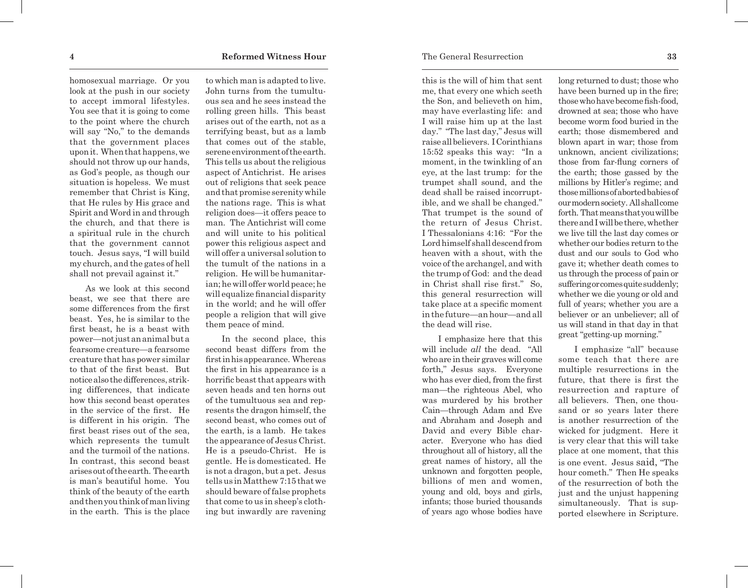homosexual marriage. Or you look at the push in our society to accept immoral lifestyles. You see that it is going to come to the point where the church will say "No," to the demands that the government places upon it. When that happens, we should not throw up our hands, as God's people, as though our situation is hopeless. We must remember that Christ is King, that He rules by His grace and Spirit and Word in and through the church, and that there is a spiritual rule in the church that the government cannot touch. Jesus says, "I will build my church, and the gates of hell shall not prevail against it."

As we look at this second beast, we see that there are some differences from the first beast. Yes, he is similar to the first beast, he is a beast with power—not just an animal but a fearsome creature—a fearsome creature that has power similar to that of the first beast. But notice also the differences, strik ing differences, that indicate how this second beast operates in the service of the first. He is different in his origin. The first beast rises out of the sea, which represents the tumult and the turmoil of the nations. In contrast, this second beast arises out of the earth. The earth is man's beautiful home. You think of the beauty of the earth and then you think of man living in the earth. This is the place to which man is adapted to live. John turns from the tumultu ous sea and he sees instead the rolling green hills. This beast arises out of the earth, not as a terrifying beast, but as a lamb that comes out of the stable, serene environment of the earth. This tells us about the religious aspect of Antichrist. He arises out of religions that seek peace and that promise serenity while the nations rage. This is what religion does—it offers peace to man. The Antichrist will come and will unite to his political power this religious aspect and will offer a universal solution to the tumult of the nations in a religion. He will be humanitar ian; he will offer world peace; he will equalize financial disparity in the world; and he will offer people a religion that will give them peace of mind.

In the second place, this second beast differs from the first in his appearance. Whereas the first in his appearance is a horrific beast that appears with seven heads and ten horns out of the tumultuous sea and rep resents the dragon himself, the second beast, who comes out of the earth, is a lamb. He takes the appearance of Jesus Christ. He is a pseudo-Christ. He is gentle. He is domesticated. He is not a dragon, but a pet. Jesus tells us in Matthew 7:15 that we should beware of false prophets that come to us in sheep's cloth ing but inwardly are ravening

this is the will of him that sent me, that every one which seeth the Son, and believeth on him, may have everlasting life: and I will raise him up at the last day." "The last day," Jesus will raise all believers. I Corinthians 15:52 speaks this way: "In a moment, in the twinkling of an eye, at the last trump: for the trumpet shall sound, and the dead shall be raised incorrupt ible, and we shall be changed." That trumpet is the sound of the return of Jesus Christ. I Thessalonians 4:16: "For the Lord himself shall descend from heaven with a shout, with the voice of the archangel, and with the trump of God: and the dead in Christ shall rise first." So, this general resurrection will take place at a specific moment in the future—an hour—and all the dead will rise.

I emphasize here that this will include *all* the dead. "All who are in their graves will come forth," Jesus says. Everyone who has ever died, from the first man—the righteous Abel, who was murdered by his brother Cain—through Adam and Eve and Abraham and Joseph and David and every Bible char acter. Everyone who has died throughout all of history, all the great names of history, all the unknown and forgotten people, billions of men and women, young and old, boys and girls, infants; those buried thousands of years ago whose bodies have

long returned to dust; those who have been burned up in the fire; those who have become fish-food, drowned at sea; those who have become worm food buried in the earth; those dismembered and blown apart in war; those from unknown, ancient civilizations; those from far-flung corners of the earth; those gassed by the millions by Hitler's regime; and those millions of aborted babies of our modern society. All shall come forth. That means that you will be there and I will be there, whether we live till the last day comes or whether our bodies return to the dust and our souls to God who gave it; whether death comes to us through the process of pain or suffering or comes quite suddenly; whether we die young or old and full of years; whether you are a believer or an unbeliever; all of us will stand in that day in that great "getting-up morning."

I emphasize "all" because some teach that there are multiple resurrections in the future, that there is first the resurrection and rapture of all believers. Then, one thou sand or so years later there is another resurrection of the wicked for judgment. Here it is very clear that this will take place at one moment, that this is one event. Jesus said, "The hour cometh." Then He speaks of the resurrection of both the just and the unjust happening simultaneously. That is sup ported elsewhere in Scripture.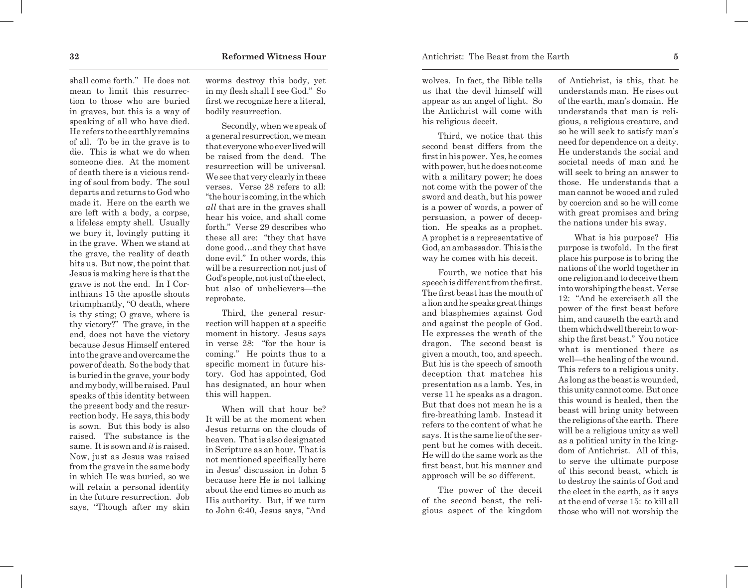shall come forth." He does not mean to limit this resurrection to those who are buried in graves, but this is a way of speaking of all who have died. He refers to the earthly remains of all. To be in the grave is to die. This is what we do when someone dies. At the moment of death there is a vicious rending of soul from body. The soul departs and returns to God who made it. Here on the earth we are left with a body, a corpse, a lifeless empty shell. Usually we bury it, lovingly putting it in the grave. When we stand at the grave, the reality of death hits us. But now, the point that Jesus is making here is that the grave is not the end. In I Corinthians 15 the apostle shouts triumphantly, "O death, where is thy sting; O grave, where is thy victory?" The grave, in the end, does not have the victory because Jesus Himself entered into the grave and overcame the power of death. So the body that is buried in the grave, your body and my body, will be raised. Paul speaks of this identity between the present body and the resurrection body. He says, this body is sown. But this body is also raised. The substance is the same. It is sown and *it* is raised. Now, just as Jesus was raised from the grave in the same body in which He was buried, so we will retain a personal identity in the future resurrection. Job says, "Though after my skin

worms destroy this body, yet in my flesh shall I see God." So first we recognize here a literal, bodily resurrection.

Secondly, when we speak of a general resurrection, we mean that everyone who ever lived will be raised from the dead. The resurrection will be universal. We see that very clearly in these verses. Verse 28 refers to all: "the hour is coming, in the which *all* that are in the graves shall hear his voice, and shall come forth." Verse 29 describes who these all are: "they that have done good…and they that have done evil." In other words, this will be a resurrection not just of God's people, not just of the elect, but also of unbelievers—the reprobate.

Third, the general resurrection will happen at a specific moment in history. Jesus says in verse 28: "for the hour is coming." He points thus to a specific moment in future history. God has appointed, God has designated, an hour when this will happen.

When will that hour be? It will be at the moment when Jesus returns on the clouds of heaven. That is also designated in Scripture as an hour. That is not mentioned specifically here in Jesus' discussion in John 5 because here He is not talking about the end times so much as His authority. But, if we turn to John 6:40, Jesus says, "And

wolves. In fact, the Bible tells us that the devil himself will appear as an angel of light. So the Antichrist will come with his religious deceit.

Third, we notice that this second beast differs from the first in his power. Yes, he comes with power, but he does not come with a military power; he does not come with the power of the sword and death, but his power is a power of words, a power of persuasion, a power of deception. He speaks as a prophet. A prophet is a representative of God, an ambassador. This is the way he comes with his deceit.

Fourth, we notice that his speech is different from the first. The first beast has the mouth of a lion and he speaks great things and blasphemies against God and against the people of God. He expresses the wrath of the dragon. The second beast is given a mouth, too, and speech. But his is the speech of smooth deception that matches his presentation as a lamb. Yes, in verse 11 he speaks as a dragon. But that does not mean he is a fire-breathing lamb. Instead it refers to the content of what he says. It is the same lie of the serpent but he comes with deceit. He will do the same work as the first beast, but his manner and approach will be so different.

The power of the deceit of the second beast, the religious aspect of the kingdom

of Antichrist, is this, that he understands man. He rises out of the earth, man's domain. He understands that man is religious, a religious creature, and so he will seek to satisfy man's need for dependence on a deity. He understands the social and societal needs of man and he will seek to bring an answer to those. He understands that a man cannot be wooed and ruled by coercion and so he will come with great promises and bring the nations under his sway.

What is his purpose? His purpose is twofold. In the first place his purpose is to bring the nations of the world together in one religion and to deceive them into worshiping the beast. Verse 12: "And he exerciseth all the power of the first beast before him, and causeth the earth and them which dwell therein to worship the first beast." You notice what is mentioned there as well—the healing of the wound. This refers to a religious unity. As long as the beast is wounded, this unity cannot come. But once this wound is healed, then the beast will bring unity between the religions of the earth. There will be a religious unity as well as a political unity in the kingdom of Antichrist. All of this, to serve the ultimate purpose of this second beast, which is to destroy the saints of God and the elect in the earth, as it says at the end of verse 15: to kill all those who will not worship the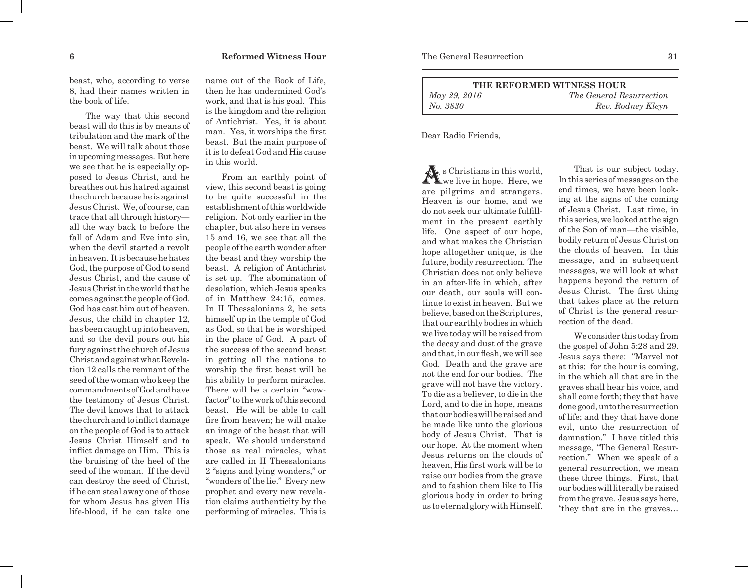beast, who, according to verse 8, had their names written in the book of life.

The way that this second beast will do this is by means of tribulation and the mark of the beast. We will talk about those in upcoming messages. But here we see that he is especially opposed to Jesus Christ, and he breathes out his hatred against the church because he is against Jesus Christ. We, of course, can trace that all through history all the way back to before the fall of Adam and Eve into sin, when the devil started a revolt in heaven. It is because he hates God, the purpose of God to send Jesus Christ, and the cause of Jesus Christ in the world that he comes against the people of God. God has cast him out of heaven. Jesus, the child in chapter 12, has been caught up into heaven, and so the devil pours out his fury against the church of Jesus Christ and against what Revelation 12 calls the remnant of the seed of the woman who keep the commandments of God and have the testimony of Jesus Christ. The devil knows that to attack the church and to inflict damage on the people of God is to attack Jesus Christ Himself and to inflict damage on Him. This is the bruising of the heel of the seed of the woman. If the devil can destroy the seed of Christ, if he can steal away one of those for whom Jesus has given His life-blood, if he can take one name out of the Book of Life, then he has undermined God's work, and that is his goal. This is the kingdom and the religion of Antichrist. Yes, it is about man. Yes, it worships the first beast. But the main purpose of it is to defeat God and His cause in this world.

From an earthly point of view, this second beast is going to be quite successful in the establishment of this worldwide religion. Not only earlier in the chapter, but also here in verses 15 and 16, we see that all the people of the earth wonder after the beast and they worship the beast. A religion of Antichrist is set up. The abomination of desolation, which Jesus speaks of in Matthew 24:15, comes. In II Thessalonians 2, he sets himself up in the temple of God as God, so that he is worshiped in the place of God. A part of the success of the second beast in getting all the nations to worship the first beast will be his ability to perform miracles. There will be a certain "wowfactor" to the work of this second beast. He will be able to call fire from heaven; he will make an image of the beast that will speak. We should understand those as real miracles, what are called in II Thessalonians 2 "signs and lying wonders," or "wonders of the lie." Every new prophet and every new revelation claims authenticity by the performing of miracles. This is

| THE REFORMED WITNESS HOUR |                                 |  |
|---------------------------|---------------------------------|--|
| May 29, 2016              | <i>The General Resurrection</i> |  |
| No. 3830                  | Rev. Rodney Kleyn               |  |

Dear Radio Friends,

 $\mathbf{A}$  s Christians in this world, we live in hope. Here, we are pilgrims and strangers. Heaven is our home, and we do not seek our ultimate fulfillment in the present earthly life. One aspect of our hope, and what makes the Christian hope altogether unique, is the future, bodily resurrection. The Christian does not only believe in an after-life in which, after our death, our souls will continue to exist in heaven. But we believe, based on the Scriptures, that our earthly bodies in which we live today will be raised from the decay and dust of the grave and that, in our flesh, we will see God. Death and the grave are not the end for our bodies. The grave will not have the victory. To die as a believer, to die in the Lord, and to die in hope, means that our bodies will be raised and be made like unto the glorious body of Jesus Christ. That is our hope. At the moment when Jesus returns on the clouds of heaven, His first work will be to raise our bodies from the grave and to fashion them like to His glorious body in order to bring us to eternal glory with Himself.

That is our subject today. In this series of messages on the end times, we have been looking at the signs of the coming of Jesus Christ. Last time, in this series, we looked at the sign of the Son of man—the visible, bodily return of Jesus Christ on the clouds of heaven. In this message, and in subsequent messages, we will look at what happens beyond the return of Jesus Christ. The first thing that takes place at the return of Christ is the general resurrection of the dead.

We consider this today from the gospel of John 5:28 and 29. Jesus says there: "Marvel not at this: for the hour is coming, in the which all that are in the graves shall hear his voice, and shall come forth; they that have done good, unto the resurrection of life; and they that have done evil, unto the resurrection of damnation." I have titled this message, "The General Resurrection." When we speak of a general resurrection, we mean these three things. First, that our bodies will literally be raised from the grave. Jesus says here, "they that are in the graves…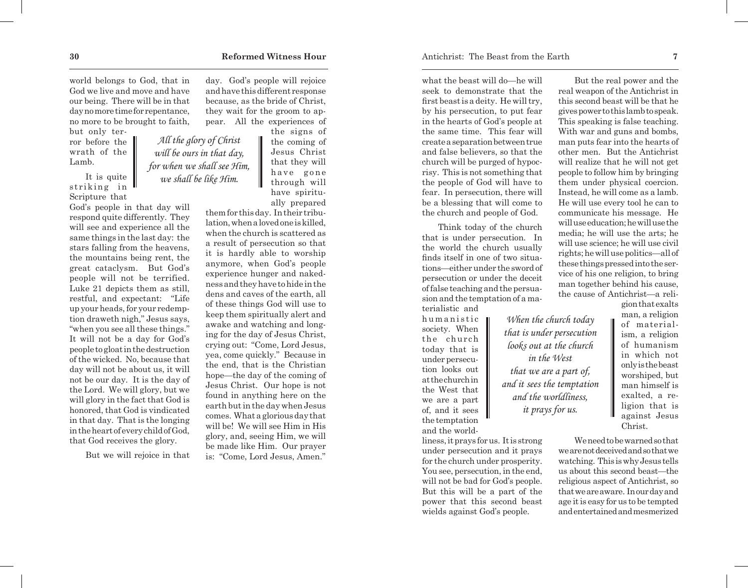world belongs to God, that in God we live and move and have our being. There will be in that day no more time for repentance, no more to be brought to faith,

> *All the glory of Christ will be ours in that day, for when we shall see Him, we shall be like Him.*

but only terror before the wrath of the Lamb.

It is quite striking in Scripture that

God's people in that day will respond quite differently. They will see and experience all the same things in the last day: the stars falling from the heavens, the mountains being rent, the great cataclysm. But God's people will not be terrified. Luke 21 depicts them as still, restful, and expectant: "Life up your heads, for your redemption draweth nigh," Jesus says, "when you see all these things." It will not be a day for God's people to gloat in the destruction of the wicked. No, because that day will not be about us, it will not be our day. It is the day of the Lord. We will glory, but we will glory in the fact that God is honored, that God is vindicated in that day. That is the longing in the heart of every child of God, that God receives the glory.

But we will rejoice in that

day. God's people will rejoice and have this different response because, as the bride of Christ, they wait for the groom to appear. All the experiences of

the signs of the coming of Jesus Christ that they will have gone through will have spiritually prepared

them for this day. In their tribulation, when a loved one is killed, when the church is scattered as a result of persecution so that it is hardly able to worship anymore, when God's people experience hunger and nakedness and they have to hide in the dens and caves of the earth, all of these things God will use to keep them spiritually alert and awake and watching and longing for the day of Jesus Christ, crying out: "Come, Lord Jesus, yea, come quickly." Because in the end, that is the Christian hope—the day of the coming of Jesus Christ. Our hope is not found in anything here on the earth but in the day when Jesus comes. What a glorious day that will be! We will see Him in His glory, and, seeing Him, we will be made like Him. Our prayer is: "Come, Lord Jesus, Amen."

what the beast will do—he will seek to demonstrate that the first beast is a deity. He will try, by his persecution, to put fear in the hearts of God's people at the same time. This fear will create a separation between true and false believers, so that the church will be purged of hypocrisy. This is not something that the people of God will have to fear. In persecution, there will be a blessing that will come to the church and people of God.

Think today of the church that is under persecution. In the world the church usually finds itself in one of two situations—either under the sword of persecution or under the deceit of false teaching and the persuasion and the temptation of a materialistic and

> *When the church today that is under persecution looks out at the church in the West that we are a part of, and it sees the temptation and the worldliness, it prays for us.*

h u m a n i s t i c society. When the church today that is under persecution looks out at the church in the West that we are a part of, and it sees the temptation and the world-

liness, it prays for us. It is strong under persecution and it prays for the church under prosperity. You see, persecution, in the end, will not be bad for God's people. But this will be a part of the power that this second beast wields against God's people.

But the real power and the real weapon of the Antichrist in this second beast will be that he gives power to this lamb to speak. This speaking is false teaching. With war and guns and bombs, man puts fear into the hearts of other men. But the Antichrist will realize that he will not get people to follow him by bringing them under physical coercion. Instead, he will come as a lamb. He will use every tool he can to communicate his message. He will use education; he will use the media; he will use the arts; he will use science; he will use civil rights; he will use politics—all of these things pressed into the service of his one religion, to bring man together behind his cause, the cause of Antichrist—a reli-

> gion that exalts man, a religion of materialism, a religion of humanism in which not only is the beast worshiped, but man himself is exalted, a religion that is against Jesus Christ.

We need to be warned so that we are not deceived and so that we watching. This is why Jesus tells us about this second beast—the religious aspect of Antichrist, so that we are aware. In our day and age it is easy for us to be tempted and entertained and mesmerized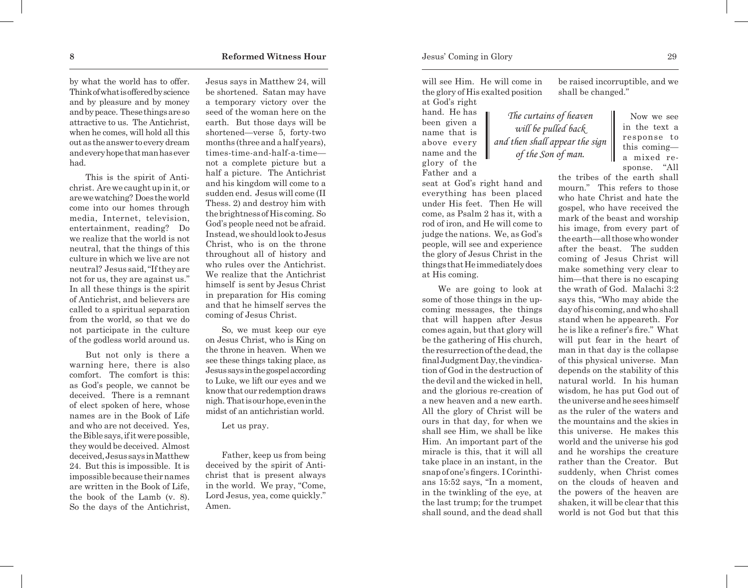by what the world has to offer. Think of what is offered by science and by pleasure and by money and by peace. These things are so attractive to us. The Antichrist, when he comes, will hold all this out as the answer to every dream and every hope that man has ever had.

This is the spirit of Antichrist. Are we caught up in it, or are we watching? Does the world come into our homes through media, Internet, television, entertainment, reading? Do we realize that the world is not neutral, that the things of this culture in which we live are not neutral? Jesus said, "If they are not for us, they are against us." In all these things is the spirit of Antichrist, and believers are called to a spiritual separation from the world, so that we do not participate in the culture of the godless world around us.

But not only is there a warning here, there is also comfort. The comfort is this: as God's people, we cannot be deceived. There is a remnant of elect spoken of here, whose names are in the Book of Life and who are not deceived. Yes, the Bible says, if it were possible, they would be deceived. Almost deceived, Jesus says in Matthew 24. But this is impossible. It is impossible because their names are written in the Book of Life, the book of the Lamb (v. 8). So the days of the Antichrist, Jesus says in Matthew 24, will be shortened. Satan may have a temporary victory over the seed of the woman here on the earth. But those days will be shortened—verse 5, forty-two months (three and a half years), times-time-and-half-a-time not a complete picture but a half a picture. The Antichrist and his kingdom will come to a sudden end. Jesus will come (II Thess. 2) and destroy him with the brightness of His coming. So God's people need not be afraid. Instead, we should look to Jesus Christ, who is on the throne throughout all of history and who rules over the Antichrist. We realize that the Antichrist himself is sent by Jesus Christ in preparation for His coming and that he himself serves the coming of Jesus Christ.

So, we must keep our eye on Jesus Christ, who is King on the throne in heaven. When we see these things taking place, as Jesus says in the gospel according to Luke, we lift our eyes and we know that our redemption draws nigh. That is our hope, even in the midst of an antichristian world.

Let us pray.

Father, keep us from being deceived by the spirit of Antichrist that is present always in the world. We pray, "Come, Lord Jesus, yea, come quickly." Amen.

will see Him. He will come in the glory of His exalted position at God's right

hand. He has been given a name that is above every name and the glory of the Father and a

seat at God's right hand and everything has been placed under His feet. Then He will come, as Psalm 2 has it, with a rod of iron, and He will come to judge the nations. We, as God's people, will see and experience the glory of Jesus Christ in the things that He immediately does at His coming.

We are going to look at some of those things in the upcoming messages, the things that will happen after Jesus comes again, but that glory will be the gathering of His church, the resurrection of the dead, the final Judgment Day, the vindication of God in the destruction of the devil and the wicked in hell, and the glorious re-creation of a new heaven and a new earth. All the glory of Christ will be ours in that day, for when we shall see Him, we shall be like Him. An important part of the miracle is this, that it will all take place in an instant, in the snap of one's fingers. I Corinthians 15:52 says, "In a moment, in the twinkling of the eye, at the last trump; for the trumpet shall sound, and the dead shall

be raised incorruptible, and we shall be changed."

*The curtains of heaven will be pulled back and then shall appear the sign of the Son of man.*

 Now we see in the text a response to this coming a mixed response. "All

the tribes of the earth shall mourn." This refers to those who hate Christ and hate the gospel, who have received the mark of the beast and worship his image, from every part of the earth—all those who wonder after the beast. The sudden coming of Jesus Christ will make something very clear to him—that there is no escaping the wrath of God. Malachi 3:2 says this, "Who may abide the day of his coming, and who shall stand when he appeareth. For he is like a refiner's fire." What will put fear in the heart of man in that day is the collapse of this physical universe. Man depends on the stability of this natural world. In his human wisdom, he has put God out of the universe and he sees himself as the ruler of the waters and the mountains and the skies in this universe. He makes this world and the universe his god and he worships the creature rather than the Creator. But suddenly, when Christ comes on the clouds of heaven and the powers of the heaven are shaken, it will be clear that this world is not God but that this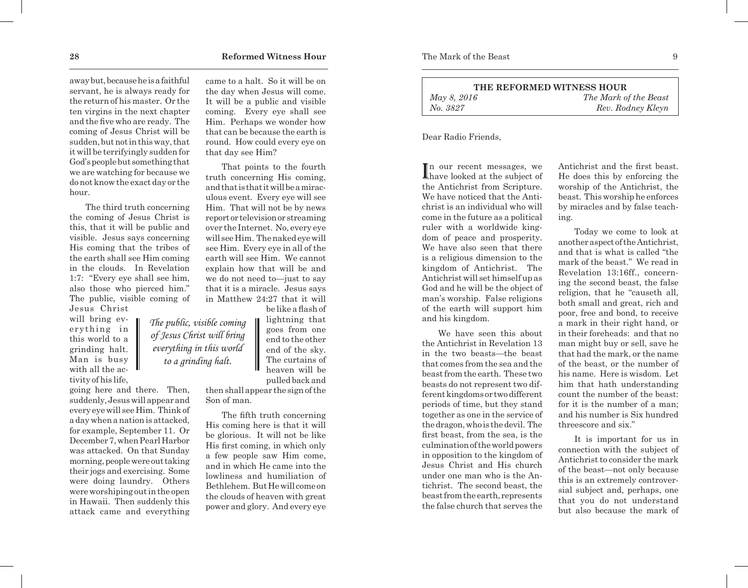away but, because he is a faithful servant, he is always ready for the return of his master. Or the ten virgins in the next chapter and the five who are ready. The coming of Jesus Christ will be sudden, but not in this way, that it will be terrifyingly sudden for God's people but something that we are watching for because we do not know the exact day or the hour.

The third truth concerning the coming of Jesus Christ is this, that it will be public and visible. Jesus says concerning His coming that the tribes of the earth shall see Him coming in the clouds. In Revelation 1:7: "Every eye shall see him, also those who pierced him." The public, visible coming of Jesus Christ

will bring everything in this world to a grinding halt. Man is busy with all the activity of his life,

going here and there. Then, suddenly, Jesus will appear and every eye will see Him. Think of a day when a nation is attacked, for example, September 11. Or December 7, when Pearl Harbor was attacked. On that Sunday morning, people were out taking their jogs and exercising. Some were doing laundry. Others were worshiping out in the open in Hawaii. Then suddenly this attack came and everything came to a halt. So it will be on the day when Jesus will come. It will be a public and visible coming. Every eye shall see Him. Perhaps we wonder how that can be because the earth is round. How could every eye on that day see Him?

That points to the fourth truth concerning His coming, and that is that it will be a miraculous event. Every eye will see Him. That will not be by news report or television or streaming over the Internet. No, every eye will see Him. The naked eye will see Him. Every eye in all of the earth will see Him. We cannot explain how that will be and we do not need to—just to say that it is a miracle. Jesus says in Matthew 24:27 that it will be like a flash of

lightning that goes from one end to the other end of the sky. The curtains of heaven will be *The public, visible coming of Jesus Christ will bring everything in this world*

pulled back and then shall appear the sign of the Son of man.

*to a grinding halt.* 

The fifth truth concerning His coming here is that it will be glorious. It will not be like His first coming, in which only a few people saw Him come, and in which He came into the lowliness and humiliation of Bethlehem. But He will come on the clouds of heaven with great power and glory. And every eye *No. 3827 Rev. Rodney Kleyn*

Dear Radio Friends,

In our recent messages, we<br>have looked at the subject of n our recent messages, we the Antichrist from Scripture. We have noticed that the Antichrist is an individual who will come in the future as a political ruler with a worldwide kingdom of peace and prosperity. We have also seen that there is a religious dimension to the kingdom of Antichrist. The Antichrist will set himself up as God and he will be the object of man's worship. False religions of the earth will support him and his kingdom.

We have seen this about the Antichrist in Revelation 13 in the two beasts—the beast that comes from the sea and the beast from the earth. These two beasts do not represent two different kingdoms or two different periods of time, but they stand together as one in the service of the dragon, who is the devil. The first beast, from the sea, is the culmination of the world powers in opposition to the kingdom of Jesus Christ and His church under one man who is the Antichrist. The second beast, the beast from the earth, represents the false church that serves the

Antichrist and the first beast. He does this by enforcing the worship of the Antichrist, the beast. This worship he enforces by miracles and by false teaching.

Today we come to look at another aspect of the Antichrist, and that is what is called "the mark of the beast." We read in Revelation 13:16ff., concerning the second beast, the false religion, that he "causeth all, both small and great, rich and poor, free and bond, to receive a mark in their right hand, or in their foreheads: and that no man might buy or sell, save he that had the mark, or the name of the beast, or the number of his name. Here is wisdom. Let him that hath understanding count the number of the beast: for it is the number of a man; and his number is Six hundred threescore and six."

It is important for us in connection with the subject of Antichrist to consider the mark of the beast—not only because this is an extremely controversial subject and, perhaps, one that you do not understand but also because the mark of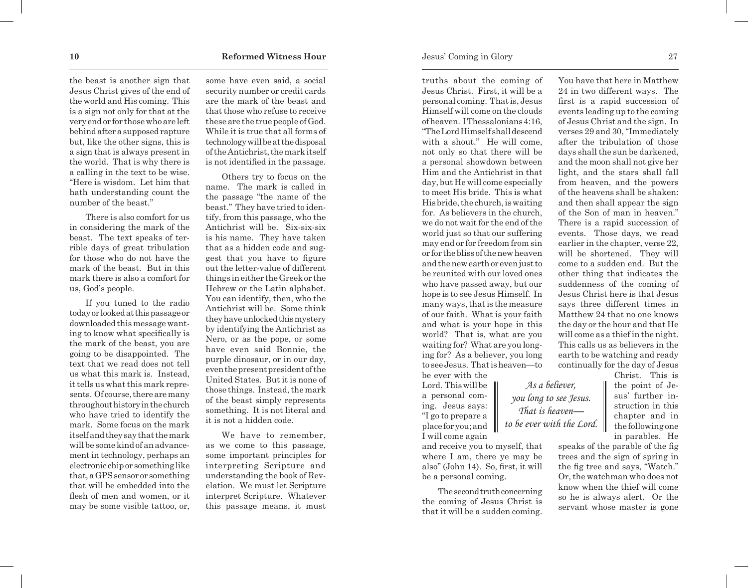the beast is another sign that Jesus Christ gives of the end of the world and His coming. This is a sign not only for that at the very end or for those who are left behind after a supposed rapture but, like the other signs, this is a sign that is always present in the world. That is why there is a calling in the text to be wise. "Here is wisdom. Let him that hath understanding count the number of the beast."

There is also comfort for us in considering the mark of the beast. The text speaks of terrible days of great tribulation for those who do not have the mark of the beast. But in this mark there is also a comfort for us, God's people.

If you tuned to the radio today or looked at this passage or downloaded this message wanting to know what specifically is the mark of the beast, you are going to be disappointed. The text that we read does not tell us what this mark is. Instead, it tells us what this mark represents. Of course, there are many throughout history in the church who have tried to identify the mark. Some focus on the mark itself and they say that the mark will be some kind of an advancement in technology, perhaps an electronic chip or something like that, a GPS sensor or something that will be embedded into the flesh of men and women, or it may be some visible tattoo, or,

some have even said, a social security number or credit cards are the mark of the beast and that those who refuse to receive these are the true people of God. While it is true that all forms of technology will be at the disposal of the Antichrist, the mark itself is not identified in the passage.

Others try to focus on the name. The mark is called in the passage "the name of the beast." They have tried to identify, from this passage, who the Antichrist will be. Six-six-six is his name. They have taken that as a hidden code and suggest that you have to figure out the letter-value of different things in either the Greek or the Hebrew or the Latin alphabet. You can identify, then, who the Antichrist will be. Some think they have unlocked this mystery by identifying the Antichrist as Nero, or as the pope, or some have even said Bonnie, the purple dinosaur, or in our day, even the present president of the United States. But it is none of those things. Instead, the mark of the beast simply represents something. It is not literal and it is not a hidden code.

We have to remember, as we come to this passage, some important principles for interpreting Scripture and understanding the book of Revelation. We must let Scripture interpret Scripture. Whatever this passage means, it must

truths about the coming of Jesus Christ. First, it will be a personal coming. That is, Jesus Himself will come on the clouds of heaven. I Thessalonians 4:16, "The Lord Himself shall descend with a shout." He will come, not only so that there will be a personal showdown between Him and the Antichrist in that day, but He will come especially to meet His bride. This is what His bride, the church, is waiting for. As believers in the church, we do not wait for the end of the world just so that our suffering may end or for freedom from sin or for the bliss of the new heaven and the new earth or even just to be reunited with our loved ones who have passed away, but our hope is to see Jesus Himself. In many ways, that is the measure of our faith. What is your faith and what is your hope in this world? That is, what are you waiting for? What are you longing for? As a believer, you long to see Jesus. That is heaven—to be ever with the

Lord. This will be a personal coming. Jesus says: "I go to prepare a place for you; and I will come again

and receive you to myself, that where I am, there ye may be also" (John 14). So, first, it will be a personal coming.

The second truth concerning the coming of Jesus Christ is that it will be a sudden coming.

You have that here in Matthew 24 in two different ways. The first is a rapid succession of events leading up to the coming of Jesus Christ and the sign. In verses 29 and 30, "Immediately after the tribulation of those days shall the sun be darkened, and the moon shall not give her light, and the stars shall fall from heaven, and the powers of the heavens shall be shaken: and then shall appear the sign of the Son of man in heaven." There is a rapid succession of events. Those days, we read earlier in the chapter, verse 22, will be shortened. They will come to a sudden end. But the other thing that indicates the suddenness of the coming of Jesus Christ here is that Jesus says three different times in Matthew 24 that no one knows the day or the hour and that He will come as a thief in the night. This calls us as believers in the earth to be watching and ready continually for the day of Jesus

the point of Jesus' further instruction in this chapter and in the following one in parables. He *As a believer, you long to see Jesus. That is heaven to be ever with the Lord.*

> speaks of the parable of the fig trees and the sign of spring in the fig tree and says, "Watch." Or, the watchman who does not know when the thief will come so he is always alert. Or the servant whose master is gone

Christ. This is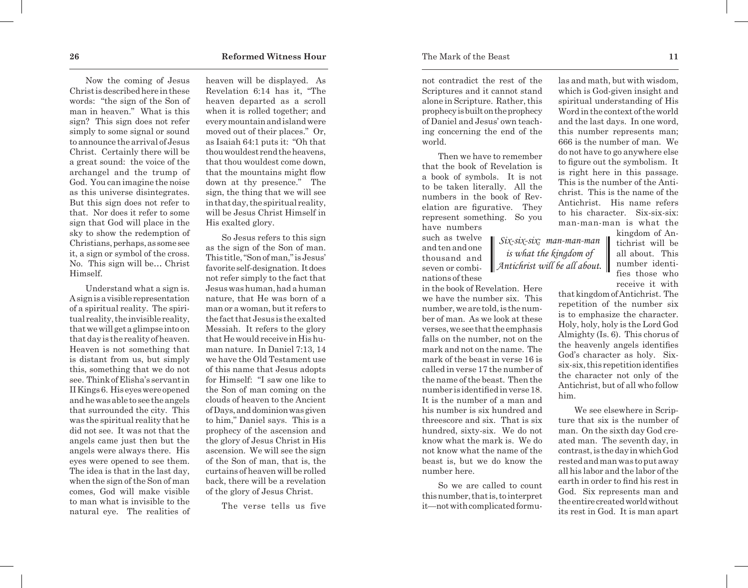Now the coming of Jesus Christ is described here in these words: "the sign of the Son of man in heaven." What is this sign? This sign does not refer simply to some signal or sound to announce the arrival of Jesus Christ. Certainly there will be a great sound: the voice of the archangel and the trump of God. You can imagine the noise as this universe disintegrates. But this sign does not refer to that. Nor does it refer to some sign that God will place in the sky to show the redemption of Christians, perhaps, as some see it, a sign or symbol of the cross. No. This sign will be… Christ Himself.

Understand what a sign is. A sign is a visible representation of a spiritual reality. The spiritual reality, the invisible reality, that we will get a glimpse into on that day is the reality of heaven. Heaven is not something that is distant from us, but simply this, something that we do not see. Think of Elisha's servant in IIKings 6. His eyes were opened and he was able to see the angels that surrounded the city. This was the spiritual reality that he did not see. It was not that the angels came just then but the angels were always there. His eyes were opened to see them. The idea is that in the last day, when the sign of the Son of man comes, God will make visible to man what is invisible to the natural eye. The realities of

heaven will be displayed. As Revelation 6:14 has it, "The heaven departed as a scroll when it is rolled together; and every mountain and island were moved out of their places." Or, as Isaiah 64:1 puts it: "Oh that thou wouldest rend the heavens, that thou wouldest come down, that the mountains might flow down at thy presence." The sign, the thing that we will see in that day, the spiritual reality, will be Jesus Christ Himself in His exalted glory.

So Jesus refers to this sign as the sign of the Son of man. This title, "Son of man," is Jesus' favorite self-designation. It does not refer simply to the fact that Jesus was human, had a human nature, that He was born of a man or a woman, but it refers to the fact that Jesus is the exalted Messiah. It refers to the glory that He would receive in His human nature. In Daniel 7:13, 14 we have the Old Testament use of this name that Jesus adopts for Himself: "I saw one like to the Son of man coming on the clouds of heaven to the Ancient of Days, and dominion was given to him," Daniel says. This is a prophecy of the ascension and the glory of Jesus Christ in His ascension. We will see the sign of the Son of man, that is, the curtains of heaven will be rolled back, there will be a revelation of the glory of Jesus Christ.

The verse tells us five

not contradict the rest of the Scriptures and it cannot stand alone in Scripture. Rather, this prophecy is built on the prophecy of Daniel and Jesus' own teaching concerning the end of the world.

Then we have to remember that the book of Revelation is a book of symbols. It is not to be taken literally. All the numbers in the book of Revelation are figurative. They represent something. So you have numbers

> *Six-six-six: man-man-man is what the kingdom of Antichrist will be all about.*

such as twelve and ten and one thousand and seven or combinations of these

in the book of Revelation. Here we have the number six. This number, we are told, is the number of man. As we look at these verses, we see that the emphasis falls on the number, not on the mark and not on the name. The mark of the beast in verse 16 is called in verse 17 the number of the name of the beast. Then the number is identified in verse 18. It is the number of a man and his number is six hundred and threescore and six. That is six hundred, sixty-six. We do not know what the mark is. We do not know what the name of the beast is, but we do know the number here.

So we are called to count this number, that is, to interpret it—not with complicated formulas and math, but with wisdom, which is God-given insight and spiritual understanding of His Word in the context of the world and the last days. In one word, this number represents man; 666 is the number of man. We do not have to go anywhere else to figure out the symbolism. It is right here in this passage. This is the number of the Antichrist. This is the name of the Antichrist. His name refers to his character. Six-six-six: man-man-man is what the

kingdom of Antichrist will be all about. This number identifies those who receive it with

that kingdom of Antichrist. The repetition of the number six is to emphasize the character. Holy, holy, holy is the Lord God Almighty (Is. 6). This chorus of the heavenly angels identifies God's character as holy. Sixsix-six, this repetition identifies the character not only of the Antichrist, but of all who follow him.

We see elsewhere in Scripture that six is the number of man. On the sixth day God created man. The seventh day, in contrast, is the day in which God rested and man was to put away all his labor and the labor of the earth in order to find his rest in God. Six represents man and the entire created world without its rest in God. It is man apart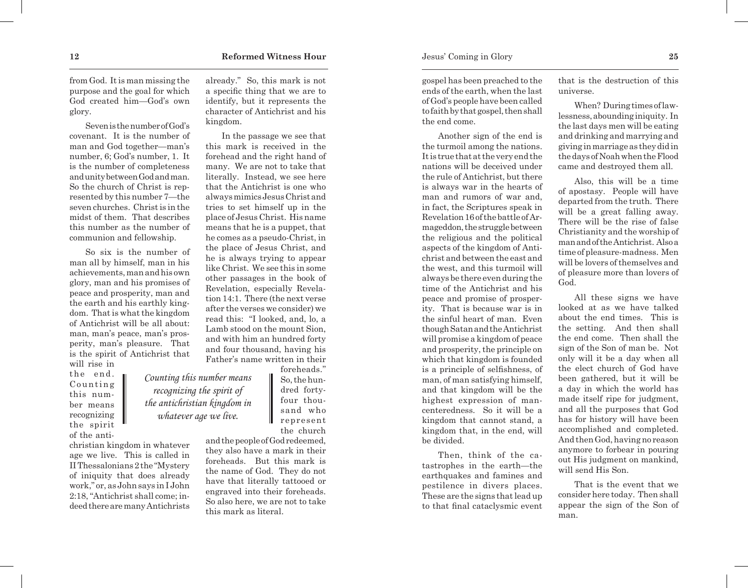from God. It is man missing the purpose and the goal for which God created him—God's own glory.

Seven is the number of God's covenant. It is the number of man and God together—man's number, 6; God's number, 1. It is the number of completeness and unity between God and man. So the church of Christ is represented by this number 7—the seven churches. Christ is in the midst of them. That describes this number as the number of communion and fellowship.

So six is the number of man all by himself, man in his achievements, man and his own glory, man and his promises of peace and prosperity, man and the earth and his earthly kingdom. That is what the kingdom of Antichrist will be all about: man, man's peace, man's prosperity, man's pleasure. That is the spirit of Antichrist that will rise in

the end. Counting this number means recognizing the spirit of the anti-

christian kingdom in whatever age we live. This is called in IIThessalonians 2 the "Mystery of iniquity that does already work," or, as John says in I John 2:18, "Antichrist shall come; indeed there are many Antichrists

*Counting this number means recognizing the spirit of the antichristian kingdom in whatever age we live.* 

already." So, this mark is not a specific thing that we are to identify, but it represents the character of Antichrist and his kingdom.

In the passage we see that this mark is received in the forehead and the right hand of many. We are not to take that literally. Instead, we see here that the Antichrist is one who always mimics Jesus Christ and tries to set himself up in the place of Jesus Christ. His name means that he is a puppet, that he comes as a pseudo-Christ, in the place of Jesus Christ, and he is always trying to appear like Christ. We see this in some other passages in the book of Revelation, especially Revelation 14:1. There (the next verse after the verses we consider) we read this: "I looked, and, lo, a Lamb stood on the mount Sion, and with him an hundred forty and four thousand, having his Father's name written in their

> foreheads." So, the hundred fortyfour thousand who represent the church

and the people of God redeemed, they also have a mark in their foreheads. But this mark is the name of God. They do not have that literally tattooed or engraved into their foreheads. So also here, we are not to take this mark as literal.

gospel has been preached to the ends of the earth, when the last of God's people have been called to faith by that gospel, then shall the end come.

Another sign of the end is the turmoil among the nations. It is true that at the very end the nations will be deceived under the rule of Antichrist, but there is always war in the hearts of man and rumors of war and, in fact, the Scriptures speak in Revelation 16 of the battle of Armageddon, the struggle between the religious and the political aspects of the kingdom of Antichrist and between the east and the west, and this turmoil will always be there even during the time of the Antichrist and his peace and promise of prosperity. That is because war is in the sinful heart of man. Even though Satan and the Antichrist will promise a kingdom of peace and prosperity, the principle on which that kingdom is founded is a principle of selfishness, of man, of man satisfying himself, and that kingdom will be the highest expression of mancenteredness. So it will be a kingdom that cannot stand, a kingdom that, in the end, will be divided.

Then, think of the catastrophes in the earth—the earthquakes and famines and pestilence in divers places. These are the signs that lead up to that final cataclysmic event that is the destruction of this universe.

When? During times of lawlessness, abounding iniquity. In the last days men will be eating and drinking and marrying and giving in marriage as they did in the days of Noah when the Flood came and destroyed them all.

Also, this will be a time of apostasy. People will have departed from the truth. There will be a great falling away. There will be the rise of false Christianity and the worship of man and of the Antichrist. Also a time of pleasure-madness. Men will be lovers of themselves and of pleasure more than lovers of God.

All these signs we have looked at as we have talked about the end times. This is the setting. And then shall the end come. Then shall the sign of the Son of man be. Not only will it be a day when all the elect church of God have been gathered, but it will be a day in which the world has made itself ripe for judgment, and all the purposes that God has for history will have been accomplished and completed. And then God, having no reason anymore to forbear in pouring out His judgment on mankind, will send His Son.

That is the event that we consider here today. Then shall appear the sign of the Son of man.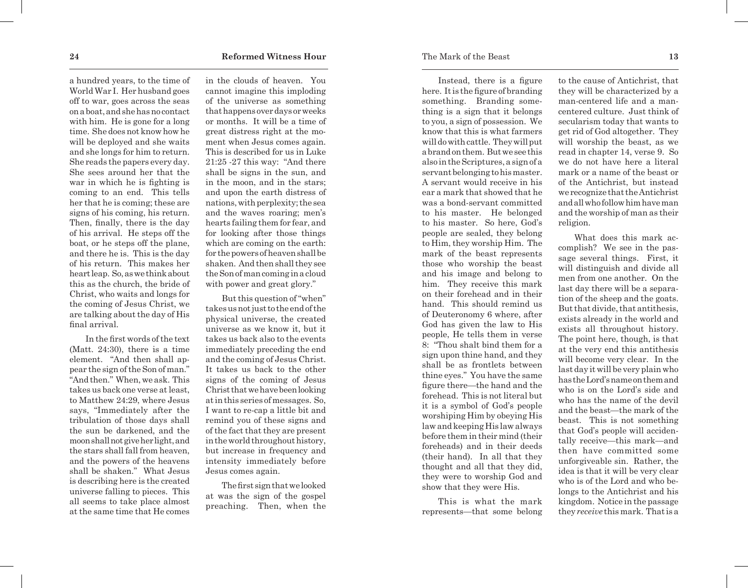a hundred years, to the time of World War I. Her husband goes off to war, goes across the seas on a boat, and she has no contact with him. He is gone for a long time. She does not know how he will be deployed and she waits and she longs for him to return. She reads the papers every day. She sees around her that the war in which he is fighting is coming to an end. This tells her that he is coming; these are signs of his coming, his return. Then, finally, there is the day of his arrival. He steps off the boat, or he steps off the plane, and there he is. This is the day of his return. This makes her heart leap. So, as we think about this as the church, the bride of Christ, who waits and longs for the coming of Jesus Christ, we are talking about the day of His final arrival.

In the first words of the text (Matt. 24:30), there is a time element. "And then shall ap pear the sign of the Son of man." "And then." When, we ask. This takes us back one verse at least, to Matthew 24:29, where Jesus says, "Immediately after the tribulation of those days shall the sun be darkened, and the moon shall not give her light, and the stars shall fall from heaven, and the powers of the heavens shall be shaken." What Jesus is describing here is the created universe falling to pieces. This all seems to take place almost at the same time that He comes in the clouds of heaven. You cannot imagine this imploding of the universe as something that happens over days or weeks or months. It will be a time of great distress right at the mo ment when Jesus comes again. This is described for us in Luke 21:25 -27 this way: "And there shall be signs in the sun, and in the moon, and in the stars; and upon the earth distress of nations, with perplexity; the sea and the waves roaring; men's hearts failing them for fear, and for looking after those things which are coming on the earth: for the powers of heaven shall be shaken. And then shall they see the Son of man coming in a cloud with power and great glory."

But this question of "when" takes us not just to the end of the physical universe, the created universe as we know it, but it takes us back also to the events immediately preceding the end and the coming of Jesus Christ. It takes us back to the other signs of the coming of Jesus Christ that we have been looking at in this series of messages. So, I want to re-cap a little bit and remind you of these signs and of the fact that they are present in the world throughout history, but increase in frequency and intensity immediately before Jesus comes again.

The first sign that we looked at was the sign of the gospel preaching. Then, when the

Instead, there is a figure here. It is the figure of branding something. Branding some thing is a sign that it belongs to you, a sign of possession. We know that this is what farmers will do with cattle. They will put a brand on them. But we see this also in the Scriptures, a sign of a servant belonging to his master. A servant would receive in his ear a mark that showed that he was a bond-servant committed to his master. He belonged to his master. So here, God's people are sealed, they belong to Him, they worship Him. The mark of the beast represents those who worship the beast and his image and belong to him. They receive this mark on their forehead and in their hand. This should remind us of Deuteronomy 6 where, after God has given the law to His people, He tells them in verse 8: "Thou shalt bind them for a sign upon thine hand, and they shall be as frontlets between thine eyes." You have the same figure there—the hand and the forehead. This is not literal but it is a symbol of God's people worshiping Him by obeying His law and keeping His law always before them in their mind (their foreheads) and in their deeds (their hand). In all that they thought and all that they did, they were to worship God and show that they were His.

This is what the mark represents—that some belong to the cause of Antichrist, that they will be characterized by a man-centered life and a mancentered culture. Just think of secularism today that wants to get rid of God altogether. They will worship the beast, as we read in chapter 14, verse 9. So we do not have here a literal mark or a name of the beast or of the Antichrist, but instead we recognize that the Antichrist and all who follow him have man and the worship of man as their religion.

What does this mark ac complish? We see in the pas sage several things. First, it will distinguish and divide all men from one another. On the last day there will be a separa tion of the sheep and the goats. But that divide, that antithesis, exists already in the world and exists all throughout history. The point here, though, is that at the very end this antithesis will become very clear. In the last day it will be very plain who has the Lord's name on them and who is on the Lord's side and who has the name of the devil and the beast—the mark of the beast. This is not something that God's people will acciden tally receive—this mark—and then have committed some unforgiveable sin. Rather, the idea is that it will be very clear who is of the Lord and who be longs to the Antichrist and his kingdom. Notice in the passage they *receive* this mark. That is a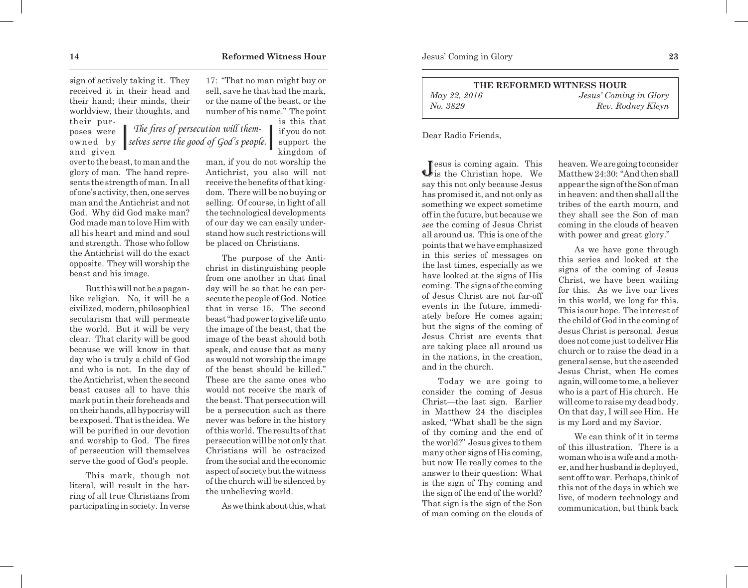sign of actively taking it. They received it in their head and their hand; their minds, their worldview, their thoughts, and

> *The fires of persecution will themselves serve the good of God's people.*

their purposes were owned by and given

over to the beast, to man and the glory of man. The hand represents the strength of man. In all of one's activity, then, one serves man and the Antichrist and not God. Why did God make man? God made man to love Him with all his heart and mind and soul and strength. Those who follow the Antichrist will do the exact opposite. They will worship the beast and his image.

But this will not be a paganlike religion. No, it will be a civilized, modern, philosophical secularism that will permeate the world. But it will be very clear. That clarity will be good because we will know in that day who is truly a child of God and who is not. In the day of the Antichrist, when the second beast causes all to have this mark put in their foreheads and on their hands, all hypocrisy will be exposed. That is the idea. We will be purified in our devotion and worship to God. The fires of persecution will themselves serve the good of God's people.

This mark, though not literal, will result in the barring of all true Christians from participating in society. In verse

17: "That no man might buy or sell, save he that had the mark, or the name of the beast, or the number of his name." The point

is this that if you do not support the kingdom of

man, if you do not worship the Antichrist, you also will not receive the benefits of that kingdom. There will be no buying or selling. Of course, in light of all the technological developments of our day we can easily understand how such restrictions will be placed on Christians.

The purpose of the Antichrist in distinguishing people from one another in that final day will be so that he can persecute the people of God. Notice that in verse 15. The second beast "had power to give life unto the image of the beast, that the image of the beast should both speak, and cause that as many as would not worship the image of the beast should be killed." These are the same ones who would not receive the mark of the beast. That persecution will be a persecution such as there never was before in the history of this world. The results of that persecution will be not only that Christians will be ostracized from the social and the economic aspect of society but the witness of the church will be silenced by the unbelieving world.

As we think about this, what

**THE REFORMED WITNESS HOUR** *May 22, 2016 Jesus' Coming in Glory No. 3829 Rev. Rodney Kleyn*

Dear Radio Friends,

Jesus is coming again. This is the Christian hope. We say this not only because Jesus has promised it, and not only as something we expect sometime off in the future, but because we *see* the coming of Jesus Christ all around us. This is one of the points that we have emphasized in this series of messages on the last times, especially as we have looked at the signs of His coming. The signs of the coming of Jesus Christ are not far-off events in the future, immediately before He comes again; but the signs of the coming of Jesus Christ are events that are taking place all around us in the nations, in the creation, and in the church.

Today we are going to consider the coming of Jesus Christ—the last sign. Earlier in Matthew 24 the disciples asked, "What shall be the sign of thy coming and the end of the world?" Jesus gives to them many other signs of His coming, but now He really comes to the answer to their question: What is the sign of Thy coming and the sign of the end of the world? That sign is the sign of the Son of man coming on the clouds of heaven. We are going to consider Matthew 24:30: "And then shall appear the sign of the Son of man in heaven: and then shall all the tribes of the earth mourn, and they shall see the Son of man coming in the clouds of heaven with power and great glory."

As we have gone through this series and looked at the signs of the coming of Jesus Christ, we have been waiting for this. As we live our lives in this world, we long for this. This is our hope. The interest of the child of God in the coming of Jesus Christ is personal. Jesus does not come just to deliver His church or to raise the dead in a general sense, but the ascended Jesus Christ, when He comes again, will come to me, a believer who is a part of His church. He will come to raise my dead body. On that day, I will see Him. He is my Lord and my Savior.

We can think of it in terms of this illustration. There is a woman who is a wife and a mother, and her husband is deployed, sent off to war. Perhaps, think of this not of the days in which we live, of modern technology and communication, but think back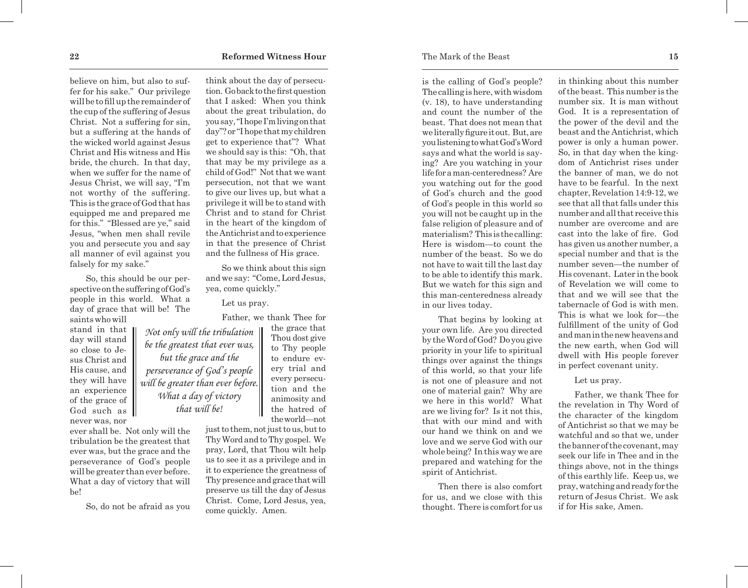believe on him, but also to suffer for his sake." Our privilege will be to fill up the remainder of the cup of the suffering of Jesus Christ. Not a suffering for sin, but a suffering at the hands of the wicked world against Jesus Christ and His witness and His bride, the church. In that day, when we suffer for the name of Jesus Christ, we will say, "I'm not worthy of the suffering. This is the grace of God that has equipped me and prepared me for this." "Blessed are ye," said Jesus, "when men shall revile you and persecute you and say all manner of evil against you falsely for my sake."

So, this should be our perspective on the suffering of God's people in this world. What a day of grace that will be! The saints who will

stand in that day will stand so close to Jesus Christ and His cause, and they will have an experience of the grace of God such as | never was, nor

ever shall be. Not only will the tribulation be the greatest that ever was, but the grace and the perseverance of God's people will be greater than ever before. What a day of victory that will be!

So, do not be afraid as you

think about the day of persecution. Go back to the first question that I asked: When you think about the great tribulation, do you say, "I hope I'm living on that day"? or "I hope that my children get to experience that"? What we should say is this: "Oh, that that may be my privilege as a child of God!" Not that we want persecution, not that we want to give our lives up, but what a privilege it will be to stand with Christ and to stand for Christ in the heart of the kingdom of the Antichrist and to experience in that the presence of Christ and the fullness of His grace.

So we think about this sign and we say: "Come, Lord Jesus, yea, come quickly."

Let us pray.

Father, we thank Thee for

the grace that Thou dost give to Thy people to endure every trial and every persecution and the animosity and the hatred of the world—not

*Not only will the tribulation be the greatest that ever was, but the grace and the perseverance of God's people will be greater than ever before. What a day of victory that will be!* 

> just to them, not just to us, but to Thy Word and to Thy gospel. We pray, Lord, that Thou wilt help us to see it as a privilege and in it to experience the greatness of Thy presence and grace that will preserve us till the day of Jesus Christ. Come, Lord Jesus, yea, come quickly. Amen.

is the calling of God's people? The calling is here, with wisdom (v. 18), to have understanding and count the number of the beast. That does not mean that we literally figure it out. But, are you listening to what God's Word says and what the world is saying? Are you watching in your life for a man-centeredness? Are you watching out for the good of God's church and the good of God's people in this world so you will not be caught up in the false religion of pleasure and of materialism? This is the calling: Here is wisdom—to count the number of the beast. So we do not have to wait till the last day to be able to identify this mark. But we watch for this sign and this man-centeredness already in our lives today.

That begins by looking at your own life. Are you directed by the Word of God? Do you give priority in your life to spiritual things over against the things of this world, so that your life is not one of pleasure and not one of material gain? Why are we here in this world? What are we living for? Is it not this, that with our mind and with our hand we think on and we love and we serve God with our whole being? In this way we are prepared and watching for the spirit of Antichrist.

Then there is also comfort for us, and we close with this thought. There is comfort for us in thinking about this number of the beast. This number is the number six. It is man without God. It is a representation of the power of the devil and the beast and the Antichrist, which power is only a human power. So, in that day when the kingdom of Antichrist rises under the banner of man, we do not have to be fearful. In the next chapter, Revelation 14:9-12, we see that all that falls under this number and all that receive this number are overcome and are cast into the lake of fire. God has given us another number, a special number and that is the number seven—the number of His covenant. Later in the book of Revelation we will come to that and we will see that the tabernacle of God is with men. This is what we look for—the fulfillment of the unity of God and man in the new heavens and the new earth, when God will dwell with His people forever in perfect covenant unity.

Let us pray.

Father, we thank Thee for the revelation in Thy Word of the character of the kingdom of Antichrist so that we may be watchful and so that we, under the banner of the covenant, may seek our life in Thee and in the things above, not in the things of this earthly life. Keep us, we pray, watching and ready for the return of Jesus Christ. We ask if for His sake, Amen.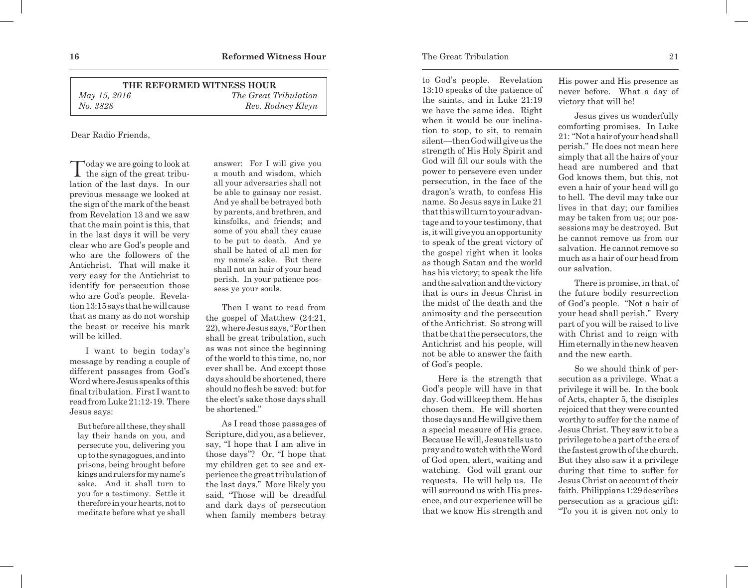| THE REFORMED WITNESS HOUR |                              |  |
|---------------------------|------------------------------|--|
| May 15, 2016              | <i>The Great Tribulation</i> |  |
| No. 3828                  | Rev. Rodney Kleyn            |  |

## Dear Radio Friends,

 $\int$  oday we are going to look at the sign of the great tribulation of the last days. In our previous message we looked at the sign of the mark of the beast from Revelation 13 and we saw that the main point is this, that in the last days it will be very clear who are God's people and who are the followers of the Antichrist. That will make it very easy for the Antichrist to identify for persecution those who are God's people. Revelation 13:15 says that he will cause that as many as do not worship the beast or receive his mark will be killed.

I want to begin today's message by reading a couple of different passages from God's Word where Jesus speaks of this final tribulation. First I want to read from Luke 21:12-19. There Jesus says:

But before all these, they shall lay their hands on you, and persecute you, delivering you up to the synagogues, and into prisons, being brought before kings and rulers for my name's sake. And it shall turn to you for a testimony. Settle it therefore in your hearts, not to meditate before what ye shall

answer: For I will give you a mouth and wisdom, which all your adversaries shall not be able to gainsay nor resist. And ye shall be betrayed both by parents, and brethren, and kinsfolks, and friends; and some of you shall they cause to be put to death. And ye shall be hated of all men for my name's sake. But there shall not an hair of your head perish. In your patience possess ye your souls.

Then I want to read from the gospel of Matthew (24:21, 22), where Jesus says, "For then shall be great tribulation, such as was not since the beginning of the world to this time, no, nor ever shall be. And except those days should be shortened, there should no flesh be saved: but for the elect's sake those days shall be shortened."

As I read those passages of Scripture, did you, as a believer, say, "I hope that I am alive in those days"? Or, "I hope that my children get to see and experience the great tribulation of the last days." More likely you said, "Those will be dreadful and dark days of persecution when family members betray to God's people. Revelation 13:10 speaks of the patience of the saints, and in Luke 21:19 we have the same idea. Right when it would be our inclination to stop, to sit, to remain silent—then God will give us the strength of His Holy Spirit and God will fill our souls with the power to persevere even under persecution, in the face of the dragon's wrath, to confess His name. So Jesus says in Luke 21 that this will turn to your advantage and to your testimony, that is, it will give you an opportunity to speak of the great victory of the gospel right when it looks as though Satan and the world has his victory; to speak the life and the salvation and the victory that is ours in Jesus Christ in the midst of the death and the animosity and the persecution of the Antichrist. So strong will that be that the persecutors, the Antichrist and his people, will not be able to answer the faith of God's people.

Here is the strength that God's people will have in that day. God will keep them. He has chosen them. He will shorten those days and He will give them a special measure of His grace. Because He will, Jesus tells us to pray and to watch with the Word of God open, alert, waiting and watching. God will grant our requests. He will help us. He will surround us with His presence, and our experience will be that we know His strength and

His power and His presence as never before. What a day of victory that will be!

Jesus gives us wonderfully comforting promises. In Luke 21: "Not a hair of your head shall perish." He does not mean here simply that all the hairs of your head are numbered and that God knows them, but this, not even a hair of your head will go to hell. The devil may take our lives in that day; our families may be taken from us; our possessions may be destroyed. But he cannot remove us from our salvation. He cannot remove so much as a hair of our head from our salvation.

There is promise, in that, of the future bodily resurrection of God's people. "Not a hair of your head shall perish." Every part of you will be raised to live with Christ and to reign with Him eternally in the new heaven and the new earth.

So we should think of persecution as a privilege. What a privilege it will be. In the book of Acts, chapter 5, the disciples rejoiced that they were counted worthy to suffer for the name of Jesus Christ. They saw it to be a privilege to be a part of the era of the fastest growth of the church. But they also saw it a privilege during that time to suffer for Jesus Christ on account of their faith. Philippians 1:29 describes persecution as a gracious gift: "To you it is given not only to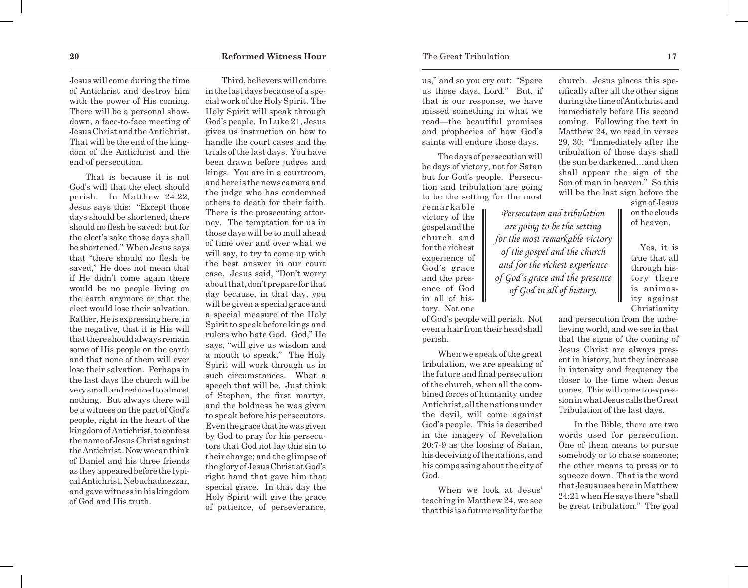Jesus will come during the time of Antichrist and destroy him with the power of His coming. There will be a personal showdown, a face-to-face meeting of Jesus Christ and the Antichrist. That will be the end of the kingdom of the Antichrist and the end of persecution.

That is because it is not God's will that the elect should perish. In Matthew 24:22, Jesus says this: "Except those days should be shortened, there should no flesh be saved: but for the elect's sake those days shall be shortened." When Jesus says that "there should no flesh be saved," He does not mean that if He didn't come again there would be no people living on the earth anymore or that the elect would lose their salvation. Rather, He is expressing here, in the negative, that it is His will that there should always remain some of His people on the earth and that none of them will ever lose their salvation. Perhaps in the last days the church will be very small and reduced to almost nothing. But always there will be a witness on the part of God's people, right in the heart of the kingdom of Antichrist, to confess the name of Jesus Christ against the Antichrist. Now we can think of Daniel and his three friends as they appeared before the typical Antichrist, Nebuchadnezzar, and gave witness in his kingdom of God and His truth.

Third, believers will endure in the last days because of a special work of the Holy Spirit. The Holy Spirit will speak through God's people. In Luke 21, Jesus gives us instruction on how to handle the court cases and the trials of the last days. You have been drawn before judges and kings. You are in a courtroom, and here is the news camera and the judge who has condemned others to death for their faith. There is the prosecuting attorney. The temptation for us in those days will be to mull ahead of time over and over what we will say, to try to come up with the best answer in our court case. Jesus said, "Don't worry about that, don't prepare for that day because, in that day, you will be given a special grace and a special measure of the Holy Spirit to speak before kings and rulers who hate God. God," He says, "will give us wisdom and a mouth to speak." The Holy Spirit will work through us in such circumstances. What a speech that will be. Just think of Stephen, the first martyr, and the boldness he was given to speak before his persecutors. Even the grace that he was given by God to pray for his persecutors that God not lay this sin to their charge; and the glimpse of the glory of Jesus Christ at God's right hand that gave him that special grace. In that day the Holy Spirit will give the grace of patience, of perseverance,

us," and so you cry out: "Spare us those days, Lord." But, if that is our response, we have missed something in what we read—the beautiful promises and prophecies of how God's saints will endure those days.

The days of persecution will be days of victory, not for Satan but for God's people. Persecution and tribulation are going to be the setting for the most

> *Persecution and tribulation are going to be the setting for the most remarkable victory of the gospel and the church and for the richest experience of God's grace and the presence of God in all of history.*

remarkable victory of the gospel and the church and for the richest experience of God's grace and the presence of God in all of history. Not one

of God's people will perish. Not even a hair from their head shall perish.

When we speak of the great tribulation, we are speaking of the future and final persecution of the church, when all the combined forces of humanity under Antichrist, all the nations under the devil, will come against God's people. This is described in the imagery of Revelation 20:7-9 as the loosing of Satan, his deceiving of the nations, and his compassing about the city of God.

When we look at Jesus' teaching in Matthew 24, we see that this is a future reality for the church. Jesus places this specifically after all the other signs during the time of Antichrist and immediately before His second coming. Following the text in Matthew 24, we read in verses 29, 30: "Immediately after the tribulation of those days shall the sun be darkened…and then shall appear the sign of the Son of man in heaven." So this will be the last sign before the

sign of Jesus on the clouds of heaven.

 Yes, it is true that all through history there is animosity against Christianity

and persecution from the unbelieving world, and we see in that that the signs of the coming of Jesus Christ are always present in history, but they increase in intensity and frequency the closer to the time when Jesus comes. This will come to expression in what Jesus calls the Great Tribulation of the last days.

In the Bible, there are two words used for persecution. One of them means to pursue somebody or to chase someone; the other means to press or to squeeze down. That is the word that Jesus uses here in Matthew 24:21 when He says there "shall be great tribulation." The goal